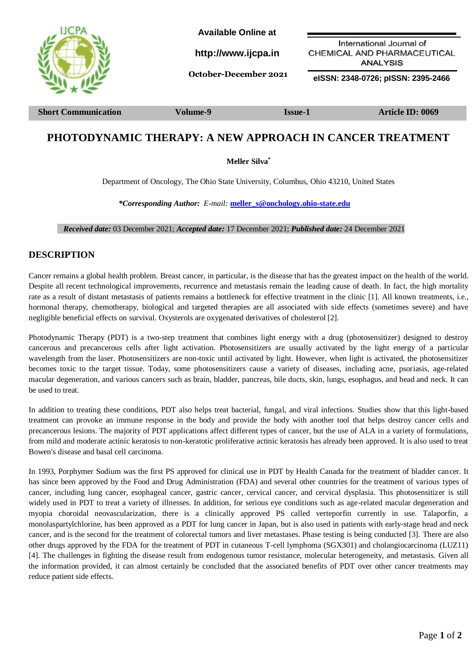

**Short Communication Volume-9 Issue-1 Article ID: 0069**

# **PHOTODYNAMIC THERAPY: A NEW APPROACH IN CANCER TREATMENT**

**Meller Silva\***

Department of Oncology, The Ohio State University, Columbus, Ohio 43210, United States

*\*Corresponding Author: E-mail:* **[meller\\_s@onchology.ohio-state.edu](mailto:meller_s@onchology.ohio-state.edu)**

 *Received date:* 03 December 2021; *Accepted date:* 17 December 2021; *Published date:* 24 December 2021

### **DESCRIPTION**

Cancer remains a global health problem. Breast cancer, in particular, is the disease that has the greatest impact on the health of the world. Despite all recent technological improvements, recurrence and metastasis remain the leading cause of death. In fact, the high mortality rate as a result of distant metastasis of patients remains a bottleneck for effective treatment in the clinic [1]. All known treatments, i.e., hormonal therapy, chemotherapy, biological and targeted therapies are all associated with side effects (sometimes severe) and have negligible beneficial effects on survival. Oxysterols are oxygenated derivatives of cholesterol [2].

Photodynamic Therapy (PDT) is a two-step treatment that combines light energy with a drug (photosensitizer) designed to destroy cancerous and precancerous cells after light activation. Photosensitizers are usually activated by the light energy of a particular wavelength from the laser. Photosensitizers are non-toxic until activated by light. However, when light is activated, the photosensitizer becomes toxic to the target tissue. Today, some photosensitizers cause a variety of diseases, including acne, psoriasis, age-related macular degeneration, and various cancers such as brain, bladder, pancreas, bile ducts, skin, lungs, esophagus, and head and neck. It can be used to treat.

In addition to treating these conditions, PDT also helps treat bacterial, fungal, and viral infections. Studies show that this light-based treatment can provoke an immune response in the body and provide the body with another tool that helps destroy cancer cells and precancerous lesions. The majority of PDT applications affect different types of cancer, but the use of ALA in a variety of formulations, from mild and moderate actinic keratosis to non-keratotic proliferative actinic keratosis has already been approved. It is also used to treat Bowen's disease and basal cell carcinoma.

In 1993, Porphymer Sodium was the first PS approved for clinical use in PDT by Health Canada for the treatment of bladder cancer. It has since been approved by the Food and Drug Administration (FDA) and several other countries for the treatment of various types of cancer, including lung cancer, esophageal cancer, gastric cancer, cervical cancer, and cervical dysplasia. This photosensitizer is still widely used in PDT to treat a variety of illnesses. In addition, for serious eye conditions such as age-related macular degeneration and myopia choroidal neovascularization, there is a clinically approved PS called verteporfin currently in use. Talaporfin, a monolaspartylchlorine, has been approved as a PDT for lung cancer in Japan, but is also used in patients with early-stage head and neck cancer, and is the second for the treatment of colorectal tumors and liver metastases. Phase testing is being conducted [3]. There are also other drugs approved by the FDA for the treatment of PDT in cutaneous T-cell lymphoma (SGX301) and cholangiocarcinoma (LUZ11) [4]. The challenges in fighting the disease result from endogenous tumor resistance, molecular heterogeneity, and metastasis. Given all the information provided, it can almost certainly be concluded that the associated benefits of PDT over other cancer treatments may reduce patient side effects.